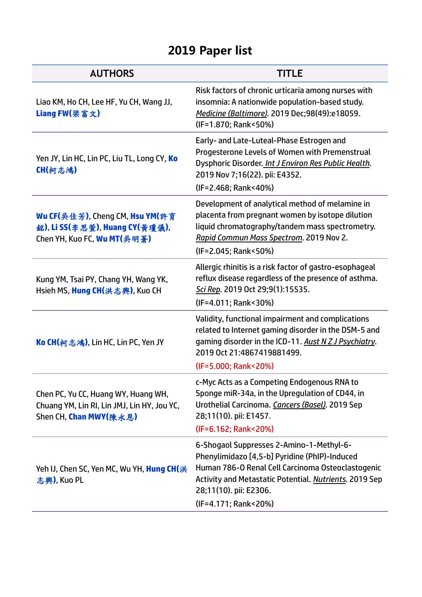## **2019 Paper list**

| <b>AUTHORS</b>                                                                                               | <b>TITLE</b>                                                                                                                                                                                                                                               |
|--------------------------------------------------------------------------------------------------------------|------------------------------------------------------------------------------------------------------------------------------------------------------------------------------------------------------------------------------------------------------------|
| Liao KM, Ho CH, Lee HF, Yu CH, Wang JJ,<br>Liang FW(梁富文)                                                     | Risk factors of chronic urticaria among nurses with<br>insomnia: A nationwide population-based study.<br>Medicine (Baltimore). 2019 Dec;98(49):e18059.<br>(IF=1.870; Rank<50%)                                                                             |
| Yen JY, Lin HC, Lin PC, Liu TL, Long CY, Ko<br>CH(柯志鴻)                                                       | Early- and Late-Luteal-Phase Estrogen and<br>Progesterone Levels of Women with Premenstrual<br>Dysphoric Disorder. Int J Environ Res Public Health.<br>2019 Nov 7;16(22). pii: E4352.<br>(IF=2.468; Rank<40%)                                              |
| Wu CF(吳佳芳), Cheng CM, Hsu YM(許育<br>銘), Li SS(李思萱), Huang CY(黄瓊儀),<br>Chen YH, Kuo FC, Wu MT(吳明蒼)             | Development of analytical method of melamine in<br>placenta from pregnant women by isotope dilution<br>liquid chromatography/tandem mass spectrometry.<br>Rapid Commun Mass Spectrom. 2019 Nov 2.<br>(IF=2.045; Rank<50%)                                  |
| Kung YM, Tsai PY, Chang YH, Wang YK,<br>Hsieh MS, Hung CH(洪志興), Kuo CH                                       | Allergic rhinitis is a risk factor of gastro-esophageal<br>reflux disease regardless of the presence of asthma.<br>Sci Rep. 2019 Oct 29;9(1):15535.<br>(IF=4.011; Rank<30%)                                                                                |
| Ko CH(柯志鴻), Lin HC, Lin PC, Yen JY                                                                           | Validity, functional impairment and complications<br>related to Internet gaming disorder in the DSM-5 and<br>gaming disorder in the ICD-11. Aust N Z J Psychiatry.<br>2019 Oct 21:4867419881499.<br>(IF=5.000; Rank<20%)                                   |
| Chen PC, Yu CC, Huang WY, Huang WH,<br>Chuang YM, Lin RI, Lin JMJ, Lin HY, Jou YC,<br>Shen CH, Chan MWY(陳永恩) | c-Myc Acts as a Competing Endogenous RNA to<br>Sponge miR-34a, in the Upregulation of CD44, in<br>Urothelial Carcinoma. Cancers (Basel). 2019 Sep<br>28;11(10). pii: E1457.<br>(IF=6.162; Rank<20%)                                                        |
| Yeh IJ, Chen SC, Yen MC, Wu YH, Hung CH(洪<br>志興), Kuo PL                                                     | 6-Shogaol Suppresses 2-Amino-1-Methyl-6-<br>Phenylimidazo [4,5-b] Pyridine (PhIP)-Induced<br>Human 786-0 Renal Cell Carcinoma Osteoclastogenic<br>Activity and Metastatic Potential. Nutrients. 2019 Sep<br>28;11(10). pii: E2306.<br>(IF=4.171; Rank<20%) |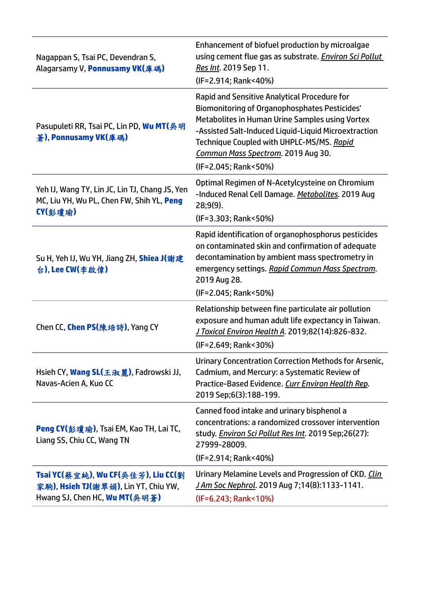| Nagappan S, Tsai PC, Devendran S,<br>Alagarsamy V, Ponnusamy VK(庫碼)                                         | Enhancement of biofuel production by microalgae<br>using cement flue gas as substrate. Environ Sci Pollut<br>Res Int. 2019 Sep 11.<br>(IF=2.914; Rank<40%)                                                                                                                                                                 |
|-------------------------------------------------------------------------------------------------------------|----------------------------------------------------------------------------------------------------------------------------------------------------------------------------------------------------------------------------------------------------------------------------------------------------------------------------|
| Pasupuleti RR, Tsai PC, Lin PD, Wu MT(吳明<br>蒼), Ponnusamy VK(庫碼)                                            | Rapid and Sensitive Analytical Procedure for<br><b>Biomonitoring of Organophosphates Pesticides'</b><br>Metabolites in Human Urine Samples using Vortex<br>-Assisted Salt-Induced Liquid-Liquid Microextraction<br>Technique Coupled with UHPLC-MS/MS. Rapid<br>Commun Mass Spectrom. 2019 Aug 30.<br>(IF=2.045; Rank<50%) |
| Yeh IJ, Wang TY, Lin JC, Lin TJ, Chang JS, Yen<br>MC, Liu YH, Wu PL, Chen FW, Shih YL, Peng<br>CY(彭瓊瑜)      | Optimal Regimen of N-Acetylcysteine on Chromium<br>-Induced Renal Cell Damage. Metabolites. 2019 Aug<br>$28;9(9)$ .<br>(IF=3.303; Rank<50%)                                                                                                                                                                                |
| Su H, Yeh IJ, Wu YH, Jiang ZH, <b>Shiea J</b> (謝建<br>台), Lee CW(李啟偉)                                        | Rapid identification of organophosphorus pesticides<br>on contaminated skin and confirmation of adequate<br>decontamination by ambient mass spectrometry in<br>emergency settings. Rapid Commun Mass Spectrom.<br>2019 Aug 28.<br>(IF=2.045; Rank<50%)                                                                     |
| Chen CC, <b>Chen PS(</b> 陳培詩), Yang CY                                                                      | Relationship between fine particulate air pollution<br>exposure and human adult life expectancy in Taiwan.<br>J Toxicol Environ Health A. 2019;82(14):826-832.<br>(IF=2.649; Rank<30%)                                                                                                                                     |
| Hsieh CY, <b>Wang SL(</b> 王淑麗), Fadrowski JJ,<br>Navas-Acien A, Kuo CC                                      | Urinary Concentration Correction Methods for Arsenic,<br>Cadmium, and Mercury: a Systematic Review of<br>Practice-Based Evidence. Curr Environ Health Rep.<br>2019 Sep;6(3):188-199.                                                                                                                                       |
| <b>Peng CY(彭瓊瑜), Tsai EM, Kao TH, Lai TC,</b><br>Liang SS, Chiu CC, Wang TN                                 | Canned food intake and urinary bisphenol a<br>concentrations: a randomized crossover intervention<br>study. <i>Environ Sci Pollut Res Int</i> . 2019 Sep;26(27):<br>27999-28009.<br>(IF=2.914; Rank<40%)                                                                                                                   |
| Tsai YC(蔡宜純), Wu CF(吳佳芳), Liu CC(劉<br>家駒), Hsieh TJ(謝翠娟), Lin YT, Chiu YW,<br>Hwang SJ, Chen HC, Wu MT(吳明蒼) | Urinary Melamine Levels and Progression of CKD. Clin<br>J Am Soc Nephrol. 2019 Aug 7;14(8):1133-1141.<br>(IF=6.243; Rank<10%)                                                                                                                                                                                              |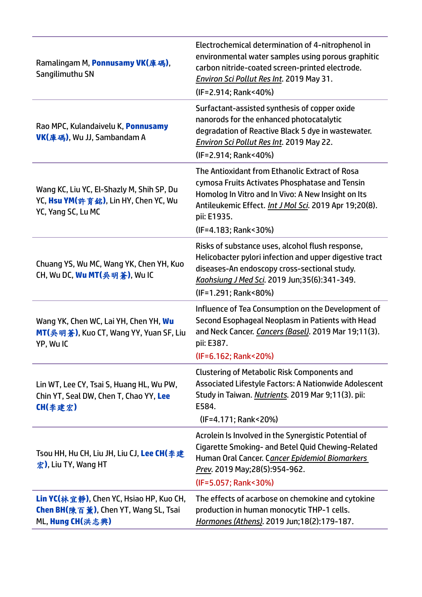| Ramalingam M, <b>Ponnusamy VK(</b> 庫碼),<br>Sangilimuthu SN                                                          | Electrochemical determination of 4-nitrophenol in<br>environmental water samples using porous graphitic<br>carbon nitride-coated screen-printed electrode.<br><b>Environ Sci Pollut Res Int. 2019 May 31.</b><br>(IF=2.914; Rank<40%)                   |
|---------------------------------------------------------------------------------------------------------------------|---------------------------------------------------------------------------------------------------------------------------------------------------------------------------------------------------------------------------------------------------------|
| Rao MPC, Kulandaivelu K, Ponnusamy<br><b>VK(庫碼), Wu JJ, Sambandam A</b>                                             | Surfactant-assisted synthesis of copper oxide<br>nanorods for the enhanced photocatalytic<br>degradation of Reactive Black 5 dye in wastewater.<br><b>Environ Sci Pollut Res Int. 2019 May 22.</b><br>(IF=2.914; Rank<40%)                              |
| Wang KC, Liu YC, El-Shazly M, Shih SP, Du<br>YC, Hsu YM(許育銘), Lin HY, Chen YC, Wu<br>YC, Yang SC, Lu MC             | The Antioxidant from Ethanolic Extract of Rosa<br>cymosa Fruits Activates Phosphatase and Tensin<br>Homolog In Vitro and In Vivo: A New Insight on Its<br>Antileukemic Effect. Int J Mol Sci. 2019 Apr 19;20(8).<br>pii: E1935.<br>(IF=4.183; Rank<30%) |
| Chuang YS, Wu MC, Wang YK, Chen YH, Kuo<br>CH, Wu DC, Wu MT(吳明蒼), Wu IC                                             | Risks of substance uses, alcohol flush response,<br>Helicobacter pylori infection and upper digestive tract<br>diseases-An endoscopy cross-sectional study.<br>Kaohsiung J Med Sci. 2019 Jun;35(6):341-349.<br>(IF=1.291; Rank<80%)                     |
| Wang YK, Chen WC, Lai YH, Chen YH, Wu<br>MT(吳明蒼), Kuo CT, Wang YY, Yuan SF, Liu<br>YP, Wu IC                        | Influence of Tea Consumption on the Development of<br>Second Esophageal Neoplasm in Patients with Head<br>and Neck Cancer. Cancers (Basel). 2019 Mar 19;11(3).<br>pii: E387.<br>(IF=6.162; Rank<20%)                                                    |
| Lin WT, Lee CY, Tsai S, Huang HL, Wu PW,<br>Chin YT, Seal DW, Chen T, Chao YY, Lee<br>CH(李建宏)                       | <b>Clustering of Metabolic Risk Components and</b><br>Associated Lifestyle Factors: A Nationwide Adolescent<br>Study in Taiwan. Nutrients. 2019 Mar 9;11(3). pii:<br>E584.<br>(IF=4.171; Rank<20%)                                                      |
| Tsou HH, Hu CH, Liu JH, Liu CJ, Lee CH(李建<br>$\hat{\mathcal{K}}$ ), Liu TY, Wang HT                                 | Acrolein Is Involved in the Synergistic Potential of<br>Cigarette Smoking- and Betel Quid Chewing-Related<br>Human Oral Cancer. Cancer Epidemiol Biomarkers<br>Prev. 2019 May;28(5):954-962.<br>(IF=5.057; Rank<30%)                                    |
| <b>Lin YC(</b> 林宜静), Chen YC, Hsiao HP, Kuo CH,<br><b>Chen BH(</b> 陳百薰), Chen YT, Wang SL, Tsai<br>ML, Hung CH(洪志興) | The effects of acarbose on chemokine and cytokine<br>production in human monocytic THP-1 cells.<br>Hormones (Athens). 2019 Jun;18(2):179-187.                                                                                                           |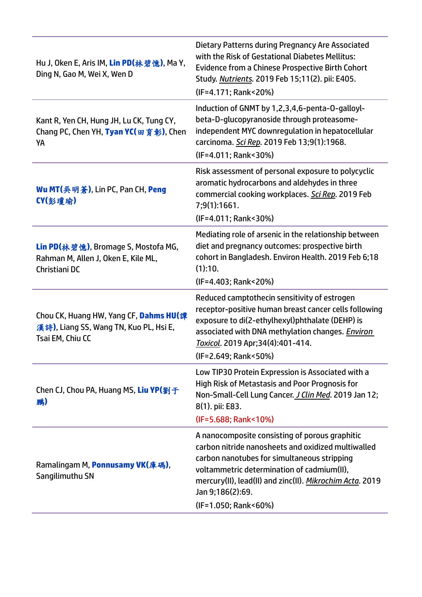| Hu J, Oken E, Aris IM, Lin PD(林碧憶), Ma Y,<br>Ding N, Gao M, Wei X, Wen D                             | Dietary Patterns during Pregnancy Are Associated<br>with the Risk of Gestational Diabetes Mellitus:<br><b>Evidence from a Chinese Prospective Birth Cohort</b><br>Study. Nutrients. 2019 Feb 15;11(2). pii: E405.<br>(IF=4.171; Rank<20%)                                                                 |
|------------------------------------------------------------------------------------------------------|-----------------------------------------------------------------------------------------------------------------------------------------------------------------------------------------------------------------------------------------------------------------------------------------------------------|
| Kant R, Yen CH, Hung JH, Lu CK, Tung CY,<br>Chang PC, Chen YH, Tyan YC(田育彰), Chen<br>YA              | Induction of GNMT by 1,2,3,4,6-penta-O-galloyl-<br>beta-D-glucopyranoside through proteasome-<br>independent MYC downregulation in hepatocellular<br>carcinoma. Sci Rep. 2019 Feb 13;9(1):1968.<br>(IF=4.011; Rank<30%)                                                                                   |
| Wu MT(吳明蒼), Lin PC, Pan CH, Peng<br>CY(彭瓊瑜)                                                          | Risk assessment of personal exposure to polycyclic<br>aromatic hydrocarbons and aldehydes in three<br>commercial cooking workplaces. Sci Rep. 2019 Feb<br>7;9(1):1661.<br>(IF=4.011; Rank<30%)                                                                                                            |
| Lin PD(林碧憶), Bromage S, Mostofa MG,<br>Rahman M, Allen J, Oken E, Kile ML,<br>Christiani DC          | Mediating role of arsenic in the relationship between<br>diet and pregnancy outcomes: prospective birth<br>cohort in Bangladesh. Environ Health. 2019 Feb 6;18<br>(1):10.<br>(IF=4.403; Rank<20%)                                                                                                         |
| Chou CK, Huang HW, Yang CF, Dahms HU(譚<br>漢詩), Liang SS, Wang TN, Kuo PL, Hsi E,<br>Tsai EM, Chiu CC | Reduced camptothecin sensitivity of estrogen<br>receptor-positive human breast cancer cells following<br>exposure to di(2-ethylhexyl)phthalate (DEHP) is<br>associated with DNA methylation changes. <i>Environ</i><br>Toxicol. 2019 Apr;34(4):401-414.<br>(IF=2.649; Rank<50%)                           |
| Chen CJ, Chou PA, Huang MS, Liu YP(劉子<br>鹏)                                                          | Low TIP30 Protein Expression is Associated with a<br><b>High Risk of Metastasis and Poor Prognosis for</b><br>Non-Small-Cell Lung Cancer. J Clin Med. 2019 Jan 12;<br>8(1). pii: E83.<br>(IF=5.688; Rank<10%)                                                                                             |
| Ramalingam M, <b>Ponnusamy VK(</b> 庫碼),<br>Sangilimuthu SN                                           | A nanocomposite consisting of porous graphitic<br>carbon nitride nanosheets and oxidized multiwalled<br>carbon nanotubes for simultaneous stripping<br>voltammetric determination of cadmium(II),<br>mercury(II), lead(II) and zinc(II). Mikrochim Acta. 2019<br>Jan 9;186(2):69.<br>(IF=1.050; Rank<60%) |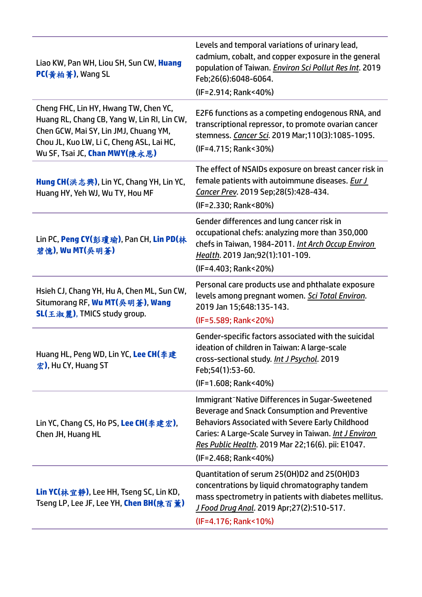| Liao KW, Pan WH, Liou SH, Sun CW, Huang<br>PC(黄柏菁), Wang SL                                                                                                                                                 | Levels and temporal variations of urinary lead,<br>cadmium, cobalt, and copper exposure in the general<br>population of Taiwan. Environ Sci Pollut Res Int. 2019<br>Feb;26(6):6048-6064.<br>(IF=2.914; Rank<40%)                                                                                               |
|-------------------------------------------------------------------------------------------------------------------------------------------------------------------------------------------------------------|----------------------------------------------------------------------------------------------------------------------------------------------------------------------------------------------------------------------------------------------------------------------------------------------------------------|
| Cheng FHC, Lin HY, Hwang TW, Chen YC,<br>Huang RL, Chang CB, Yang W, Lin RI, Lin CW,<br>Chen GCW, Mai SY, Lin JMJ, Chuang YM,<br>Chou JL, Kuo LW, Li C, Cheng ASL, Lai HC,<br>Wu SF, Tsai JC, Chan MWY(陳永恩) | E2F6 functions as a competing endogenous RNA, and<br>transcriptional repressor, to promote ovarian cancer<br>stemness. Cancer Sci. 2019 Mar;110(3):1085-1095.<br>(IF=4.715; Rank<30%)                                                                                                                          |
| Hung CH(洪志興), Lin YC, Chang YH, Lin YC,<br>Huang HY, Yeh WJ, Wu TY, Hou MF                                                                                                                                  | The effect of NSAIDs exposure on breast cancer risk in<br>female patients with autoimmune diseases. Eur J<br>Cancer Prev. 2019 Sep;28(5):428-434.<br>(IF=2.330; Rank<80%)                                                                                                                                      |
| Lin PC, Peng CY(彭瓊瑜), Pan CH, Lin PD(林<br>碧憶), Wu MT(吳明蒼)                                                                                                                                                   | Gender differences and lung cancer risk in<br>occupational chefs: analyzing more than 350,000<br>chefs in Taiwan, 1984-2011. Int Arch Occup Environ<br>Health. 2019 Jan;92(1):101-109.<br>(IF=4.403; Rank<20%)                                                                                                 |
| Hsieh CJ, Chang YH, Hu A, Chen ML, Sun CW,<br>Situmorang RF, Wu MT(吳明蒼), Wang<br><b>SL(王淑麗), TMICS study group.</b>                                                                                         | Personal care products use and phthalate exposure<br>levels among pregnant women. Sci Total Environ.<br>2019 Jan 15;648:135-143.<br>(IF=5.589; Rank<20%)                                                                                                                                                       |
| Huang HL, Peng WD, Lin YC, Lee CH(李建<br>宏), Hu CY, Huang ST                                                                                                                                                 | Gender-specific factors associated with the suicidal<br>ideation of children in Taiwan: A large-scale<br>cross-sectional study. Int J Psychol. 2019<br>Feb;54(1):53-60.<br>(IF=1.608; Rank<40%)                                                                                                                |
| Lin YC, Chang CS, Ho PS, Lee CH(李建宏),<br>Chen JH, Huang HL                                                                                                                                                  | Immigrant <sup>-</sup> Native Differences in Sugar-Sweetened<br>Beverage and Snack Consumption and Preventive<br><b>Behaviors Associated with Severe Early Childhood</b><br>Caries: A Large-Scale Survey in Taiwan. Int J Environ<br>Res Public Health. 2019 Mar 22;16(6). pii: E1047.<br>(IF=2.468; Rank<40%) |
| <b>Lin YC(</b> 林宜静), Lee HH, Tseng SC, Lin KD,<br>Tseng LP, Lee JF, Lee YH, Chen BH(陳百薰)                                                                                                                    | Quantitation of serum 25(OH)D2 and 25(OH)D3<br>concentrations by liquid chromatography tandem<br>mass spectrometry in patients with diabetes mellitus.<br><u>J Food Drug Anal</u> . 2019 Apr;27(2):510-517.<br>(IF=4.176; Rank<10%)                                                                            |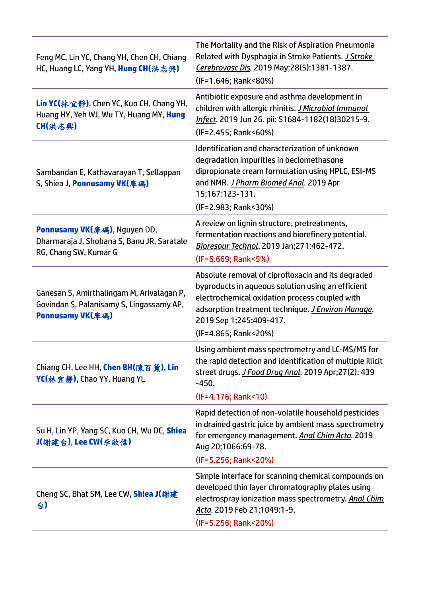| Feng MC, Lin YC, Chang YH, Chen CH, Chiang<br>HC, Huang LC, Yang YH, Hung CH(洪志興)                         | The Mortality and the Risk of Aspiration Pneumonia<br>Related with Dysphagia in Stroke Patients. J Stroke<br>Cerebrovasc Dis. 2019 May; 28(5): 1381-1387.<br>(IF=1.646; Rank<80%)                                                                                         |
|-----------------------------------------------------------------------------------------------------------|---------------------------------------------------------------------------------------------------------------------------------------------------------------------------------------------------------------------------------------------------------------------------|
| <b>Lin YC(</b> 林宜静), Chen YC, Kuo CH, Chang YH,<br>Huang HY, Yeh WJ, Wu TY, Huang MY, Hung<br>CH(洪志興)     | Antibiotic exposure and asthma development in<br>children with allergic rhinitis. <i>J Microbiol Immunol</i><br>Infect. 2019 Jun 26. pii: S1684-1182(18)30215-9.<br>(IF=2.455; Rank<60%)                                                                                  |
| Sambandan E, Kathavarayan T, Sellappan<br>S, Shiea J, Ponnusamy VK(庫碼)                                    | Identification and characterization of unknown<br>degradation impurities in beclomethasone<br>dipropionate cream formulation using HPLC, ESI-MS<br>and NMR. J Pharm Biomed Anal. 2019 Apr<br>15;167:123-131.<br>(IF=2.983; Rank<30%)                                      |
| Ponnusamy VK(庫碼), Nguyen DD,<br>Dharmaraja J, Shobana S, Banu JR, Saratale<br>RG, Chang SW, Kumar G       | A review on lignin structure, pretreatments,<br>fermentation reactions and biorefinery potential.<br>Bioresour Technol. 2019 Jan; 271: 462-472.<br>(IF=6.669; Rank<5%)                                                                                                    |
| Ganesan S, Amirthalingam M, Arivalagan P,<br>Govindan S, Palanisamy S, Lingassamy AP,<br>Ponnusamy VK(庫碼) | Absolute removal of ciprofloxacin and its degraded<br>byproducts in aqueous solution using an efficient<br>electrochemical oxidation process coupled with<br>adsorption treatment technique. <i>J Environ Manage</i> .<br>2019 Sep 1;245:409-417.<br>(IF=4.865; Rank<20%) |
| Chiang CH, Lee HH, Chen BH(陳百薰), Lin<br>YC(林宜静), Chao YY, Huang YL                                        | Using ambient mass spectrometry and LC-MS/MS for<br>the rapid detection and identification of multiple illicit<br>street drugs. J Food Drug Anal. 2019 Apr;27(2): 439<br>$-450.$<br>(IF=4.176; Rank<10)                                                                   |
| Su H, Lin YP, Yang SC, Kuo CH, Wu DC, Shiea<br>J(謝建台), Lee CW(李啟偉)                                        | Rapid detection of non-volatile household pesticides<br>in drained gastric juice by ambient mass spectrometry<br>for emergency management. Anal Chim Acta. 2019<br>Aug 20;1066:69-78.<br>(IF=5.256; Rank<20%)                                                             |
| Cheng SC, Bhat SM, Lee CW, Shiea J(謝建<br>슴)                                                               | Simple interface for scanning chemical compounds on<br>developed thin layer chromatography plates using<br>electrospray ionization mass spectrometry. Anal Chim<br>Acta. 2019 Feb 21;1049:1-9.<br>(IF=5.256; Rank<20%)                                                    |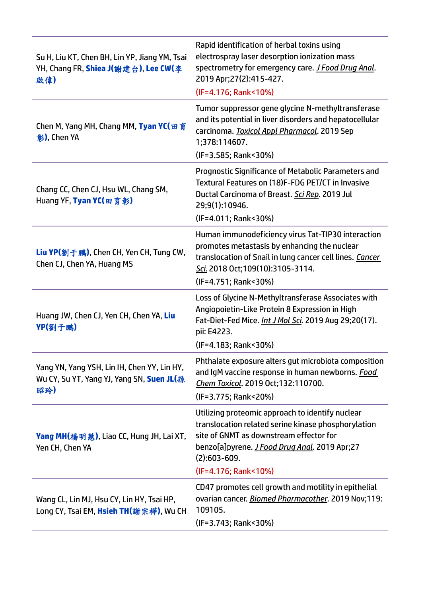| Su H, Liu KT, Chen BH, Lin YP, Jiang YM, Tsai<br>YH, Chang FR, Shiea J(謝建台), Lee CW(李<br>啟偉)    | Rapid identification of herbal toxins using<br>electrospray laser desorption ionization mass<br>spectrometry for emergency care. J Food Drug Anal.<br>2019 Apr; 27(2): 415-427.<br>(IF=4.176; Rank<10%)                                               |
|-------------------------------------------------------------------------------------------------|-------------------------------------------------------------------------------------------------------------------------------------------------------------------------------------------------------------------------------------------------------|
| Chen M, Yang MH, Chang MM, Tyan YC(田育<br>彰), Chen YA                                            | Tumor suppressor gene glycine N-methyltransferase<br>and its potential in liver disorders and hepatocellular<br>carcinoma. Toxicol Appl Pharmacol. 2019 Sep<br>1;378:114607.<br>(IF=3.585; Rank<30%)                                                  |
| Chang CC, Chen CJ, Hsu WL, Chang SM,<br>Huang YF, Tyan YC(田育彰)                                  | Prognostic Significance of Metabolic Parameters and<br>Textural Features on (18)F-FDG PET/CT in Invasive<br>Ductal Carcinoma of Breast. Sci Rep. 2019 Jul<br>29;9(1):10946.<br>(IF=4.011; Rank<30%)                                                   |
| Liu YP(劉于鹏), Chen CH, Yen CH, Tung CW,<br>Chen CJ, Chen YA, Huang MS                            | Human immunodeficiency virus Tat-TIP30 interaction<br>promotes metastasis by enhancing the nuclear<br>translocation of Snail in lung cancer cell lines. Cancer<br>Sci. 2018 Oct;109(10):3105-3114.<br>(IF=4.751; Rank<30%)                            |
| Huang JW, Chen CJ, Yen CH, Chen YA, Liu<br>YP(劉于鹏)                                              | Loss of Glycine N-Methyltransferase Associates with<br>Angiopoietin-Like Protein 8 Expression in High<br>Fat-Diet-Fed Mice. <i>Int J Mol Sci</i> . 2019 Aug 29;20(17).<br>pii: E4223.<br>(IF=4.183; Rank<30%)                                         |
| Yang YN, Yang YSH, Lin IH, Chen YY, Lin HY,<br>Wu CY, Su YT, Yang YJ, Yang SN, Suen JL(孫<br>昭玲) | Phthalate exposure alters gut microbiota composition<br>and IgM vaccine response in human newborns. Food<br>Chem Toxicol. 2019 Oct;132:110700.<br>(IF=3.775; Rank<20%)                                                                                |
| Yang MH(楊明慧), Liao CC, Hung JH, Lai XT,<br>Yen CH, Chen YA                                      | Utilizing proteomic approach to identify nuclear<br>translocation related serine kinase phosphorylation<br>site of GNMT as downstream effector for<br>benzo[a]pyrene. <i>J Food Drug Anal</i> . 2019 Apr;27<br>$(2):603-609.$<br>(IF=4.176; Rank<10%) |
| Wang CL, Lin MJ, Hsu CY, Lin HY, Tsai HP,<br>Long CY, Tsai EM, Hsieh TH(謝宗樺), Wu CH             | CD47 promotes cell growth and motility in epithelial<br>ovarian cancer. Biomed Pharmacother. 2019 Nov;119:<br>109105.<br>(IF=3.743; Rank<30%)                                                                                                         |